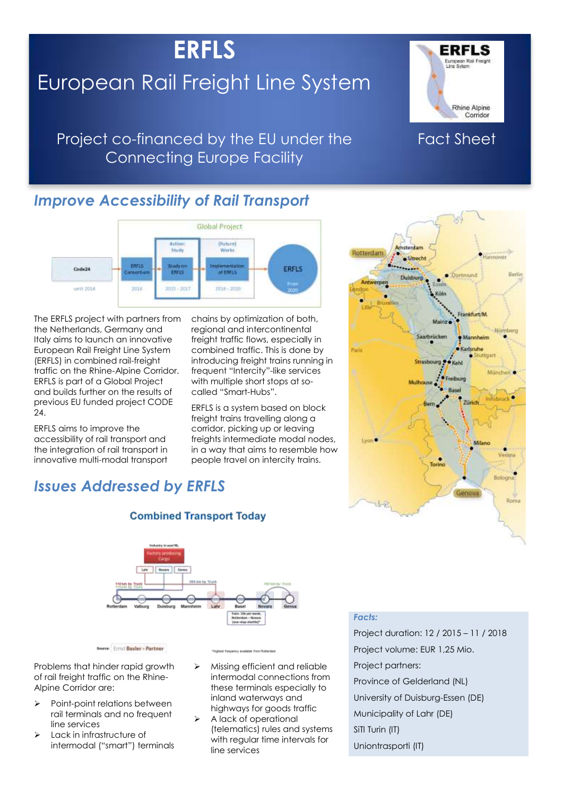# **ERFLS**

# European Rail Freight Line System



## Project co-financed by the EU under the Connecting Europe Facility

# Fact Sheet

## *Improve Accessibility of Rail Transport*



The ERFLS project with partners from the Netherlands, Germany and Italy aims to launch an innovative European Rail Freight Line System (ERFLS) in combined rail-freight traffic on the Rhine-Alpine Corridor. ERFLS is part of a Global Project and builds further on the results of previous EU funded project CODE  $24$ 

ERFLS aims to improve the accessibility of rail transport and the integration of rail transport in innovative multi-modal transport chains by optimization of both, regional and intercontinental freight traffic flows, especially in combined traffic. This is done by introducing freight trains running in frequent "Intercity"-like services with multiple short stops at socalled "Smart-Hubs".

ERFLS is a system based on block freight trains travelling along a corridor, picking up or leaving freights intermediate modal nodes, in a way that aims to resemble how people travel on intercity trains.



## *Issues Addressed by ERFLS*



**Combined Transport Today** 

Source: Errist Basler + Partner

Problems that hinder rapid growth of rail freight traffic on the Rhine-Alpine Corridor are:

- $\triangleright$  Point-point relations between rail terminals and no frequent line services
- Lack in infrastructure of intermodal ("smart") terminals

- $\triangleright$  Missing efficient and reliable intermodal connections from these terminals especially to inland waterways and highways for goods traffic
	- A lack of operational (telematics) rules and systems with regular time intervals for line services

### *Facts:*

Project duration: 12 / 2015 – 11 / 2018 Project volume: EUR 1,25 Mio. Project partners: Province of Gelderland (NL) University of Duisburg-Essen (DE) Municipality of Lahr (DE) SiTI Turin (IT) Uniontrasporti (IT)